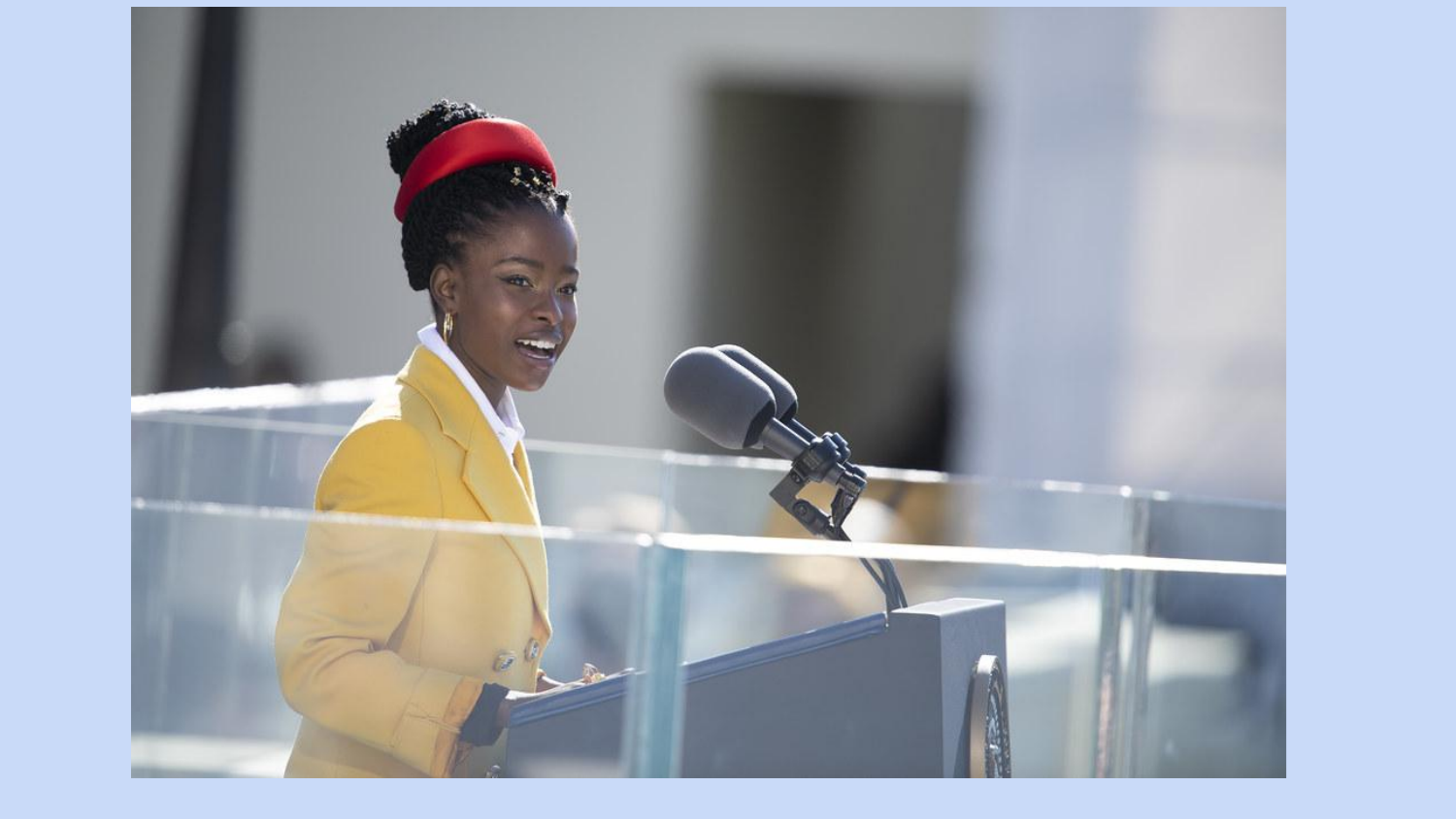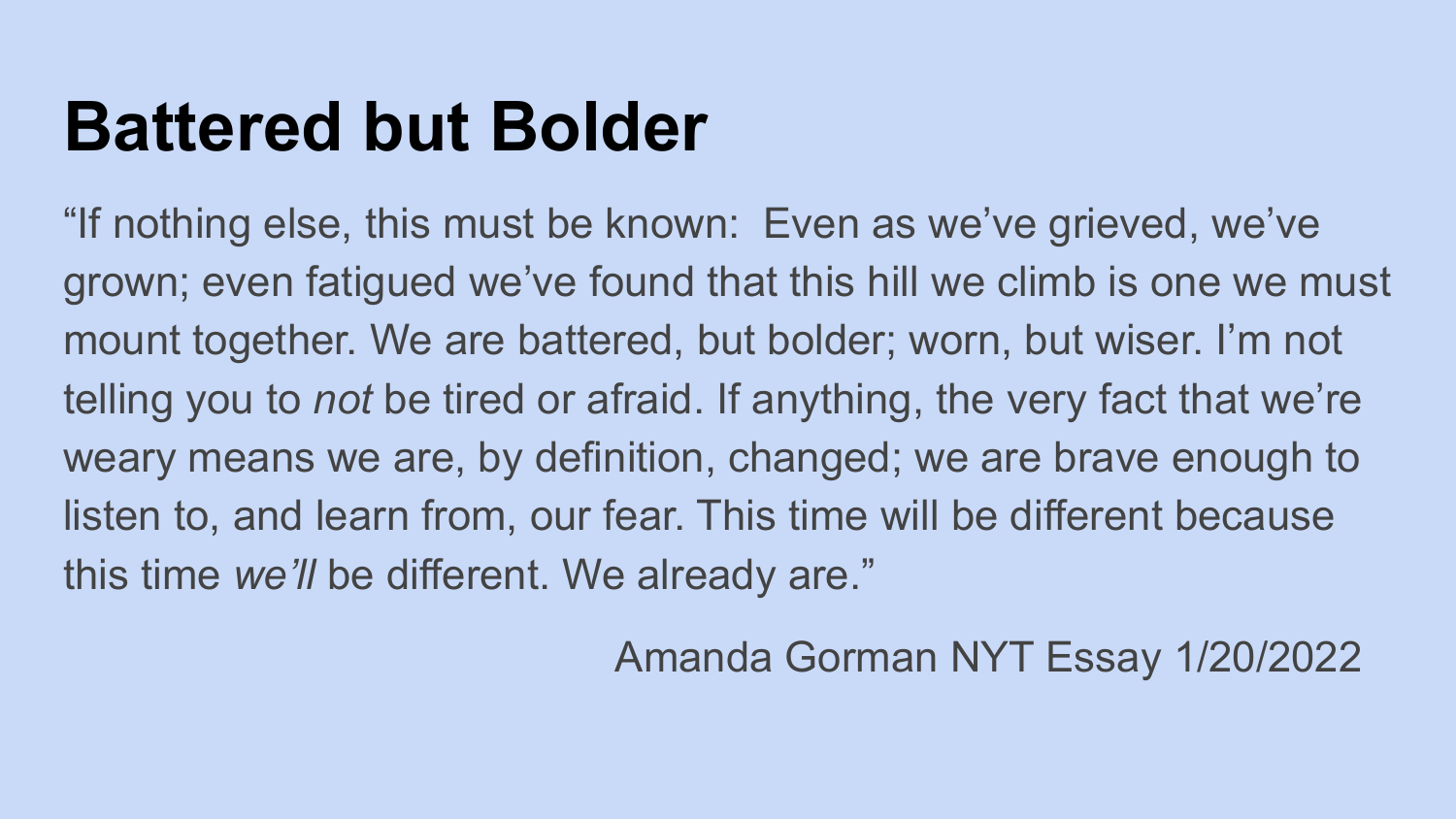# **Battered but Bolder**

"If nothing else, this must be known: Even as we've grieved, we've grown; even fatigued we've found that this hill we climb is one we must mount together. We are battered, but bolder; worn, but wiser. I'm not telling you to *not* be tired or afraid. If anything, the very fact that we're weary means we are, by definition, changed; we are brave enough to listen to, and learn from, our fear. This time will be different because this time *we'll* be different. We already are."

Amanda Gorman NYT Essay 1/20/2022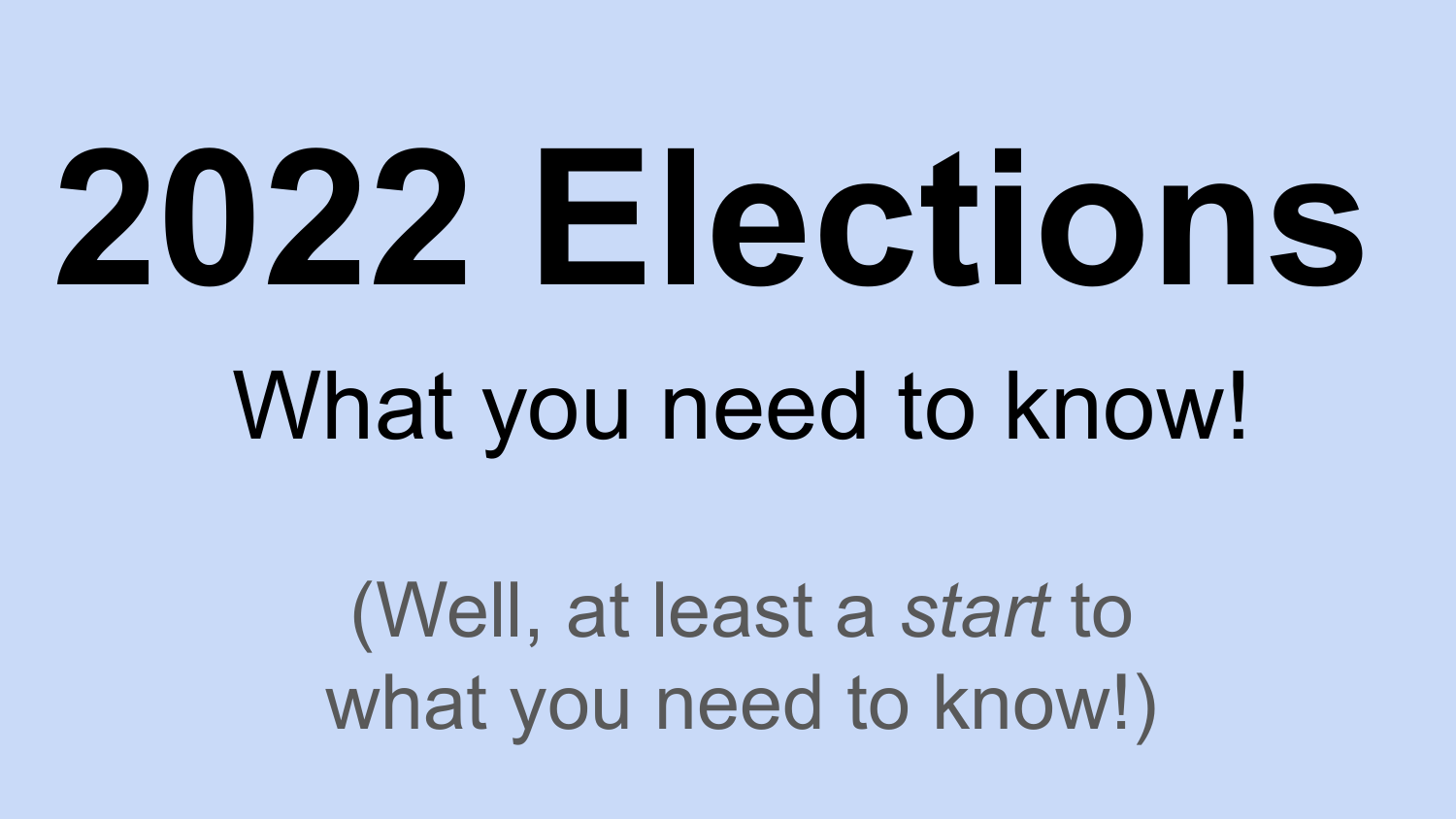# **2022 Elections** What you need to know!

(Well, at least a *start* to what you need to know!)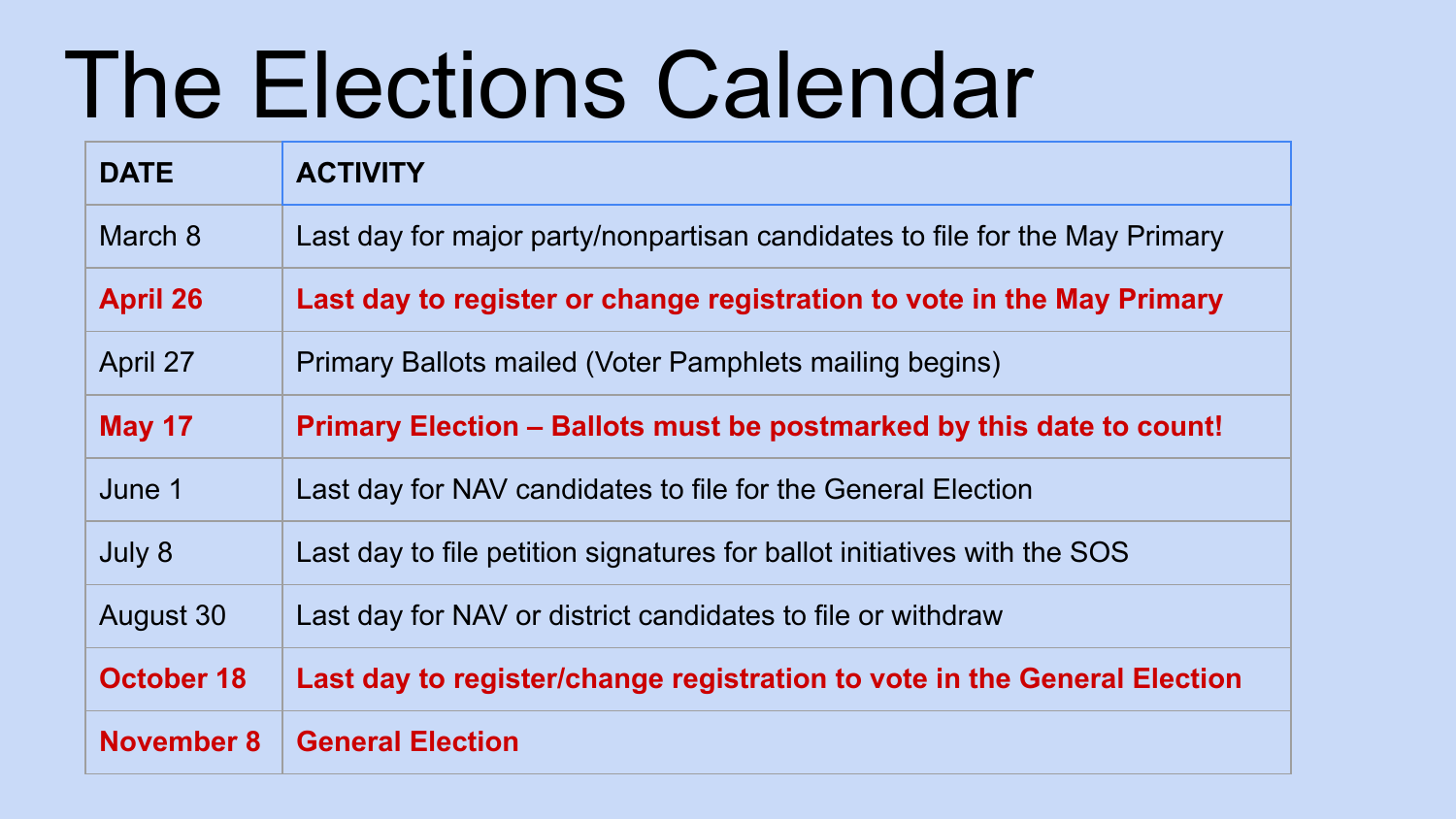# The Elections Calendar

| <b>DATE</b>       | <b>ACTIVITY</b>                                                             |
|-------------------|-----------------------------------------------------------------------------|
| March 8           | Last day for major party/nonpartisan candidates to file for the May Primary |
| <b>April 26</b>   | Last day to register or change registration to vote in the May Primary      |
| April 27          | Primary Ballots mailed (Voter Pamphlets mailing begins)                     |
| <b>May 17</b>     | Primary Election – Ballots must be postmarked by this date to count!        |
| June 1            | Last day for NAV candidates to file for the General Election                |
| July 8            | Last day to file petition signatures for ballot initiatives with the SOS    |
| August 30         | Last day for NAV or district candidates to file or withdraw                 |
| <b>October 18</b> | Last day to register/change registration to vote in the General Election    |
| November 8        | <b>General Election</b>                                                     |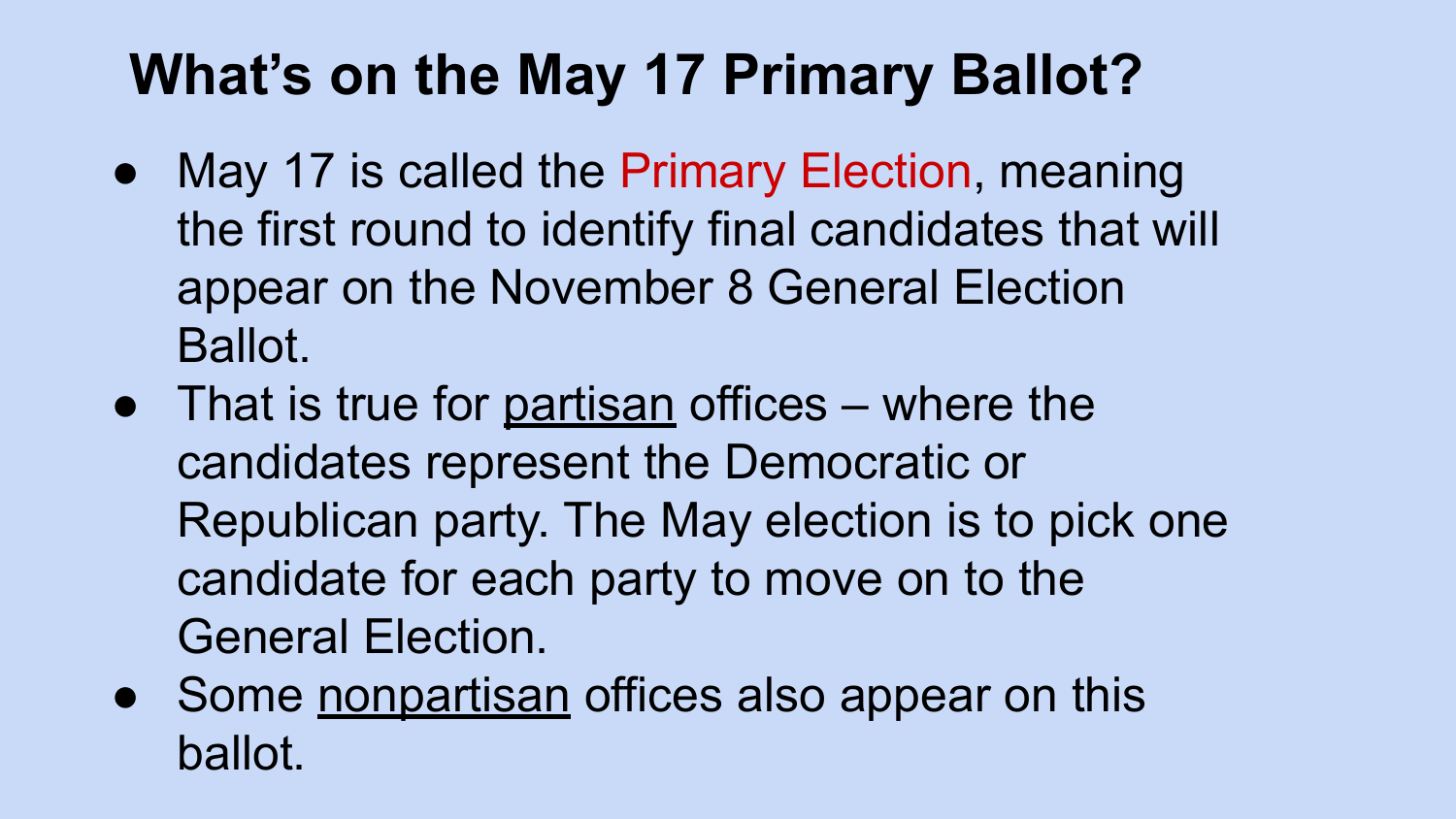# **What's on the May 17 Primary Ballot?**

- May 17 is called the Primary Election, meaning the first round to identify final candidates that will appear on the November 8 General Election Ballot.
- That is true for <u>partisan</u> offices where the candidates represent the Democratic or Republican party. The May election is to pick one candidate for each party to move on to the General Election.
- Some nonpartisan offices also appear on this ballot.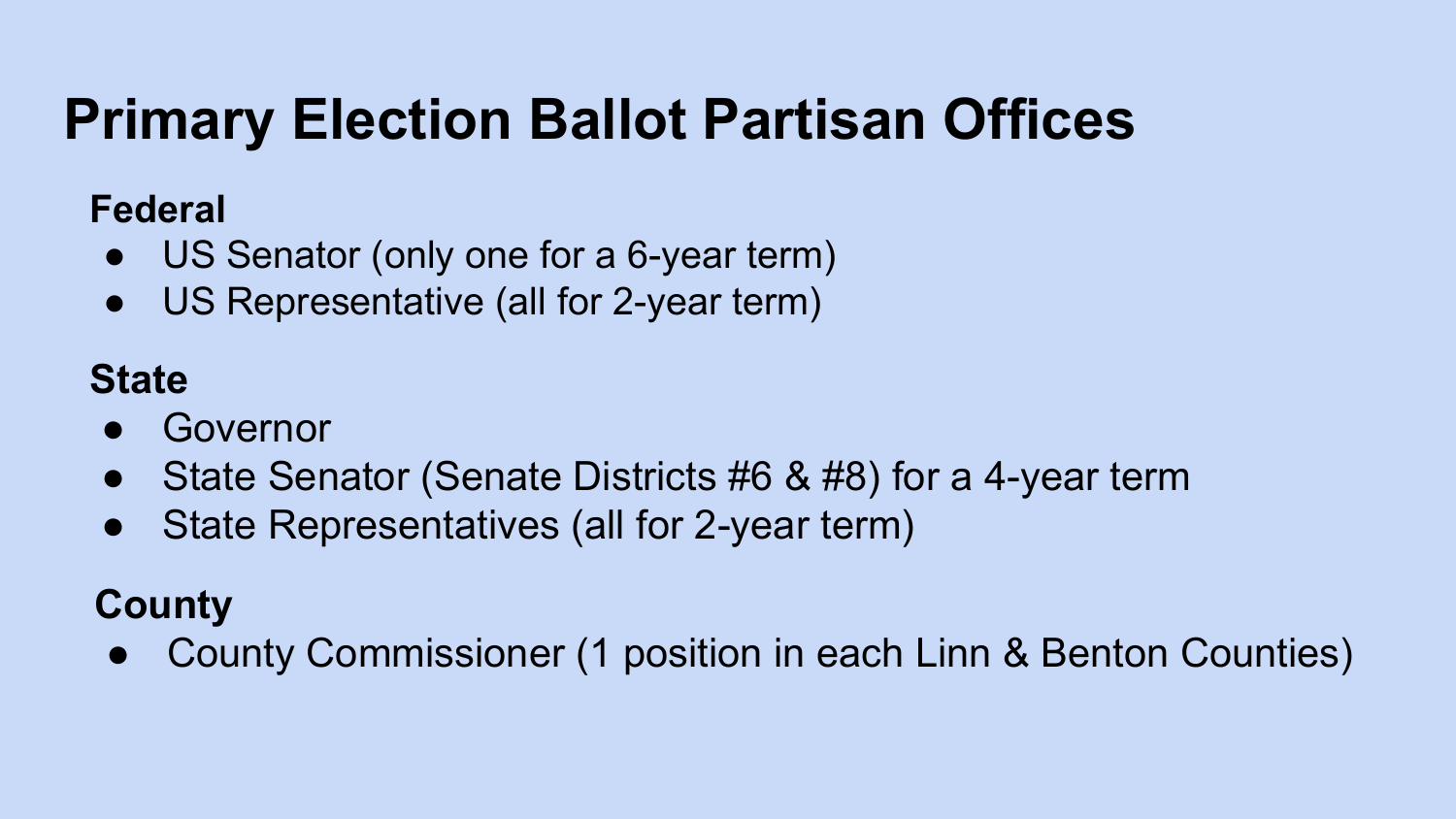# **Primary Election Ballot Partisan Offices**

#### **Federal**

- US Senator (only one for a 6-year term)
- US Representative (all for 2-year term)

#### **State**

- Governor
- State Senator (Senate Districts #6 & #8) for a 4-year term
- State Representatives (all for 2-year term)

#### **County**

• County Commissioner (1 position in each Linn & Benton Counties)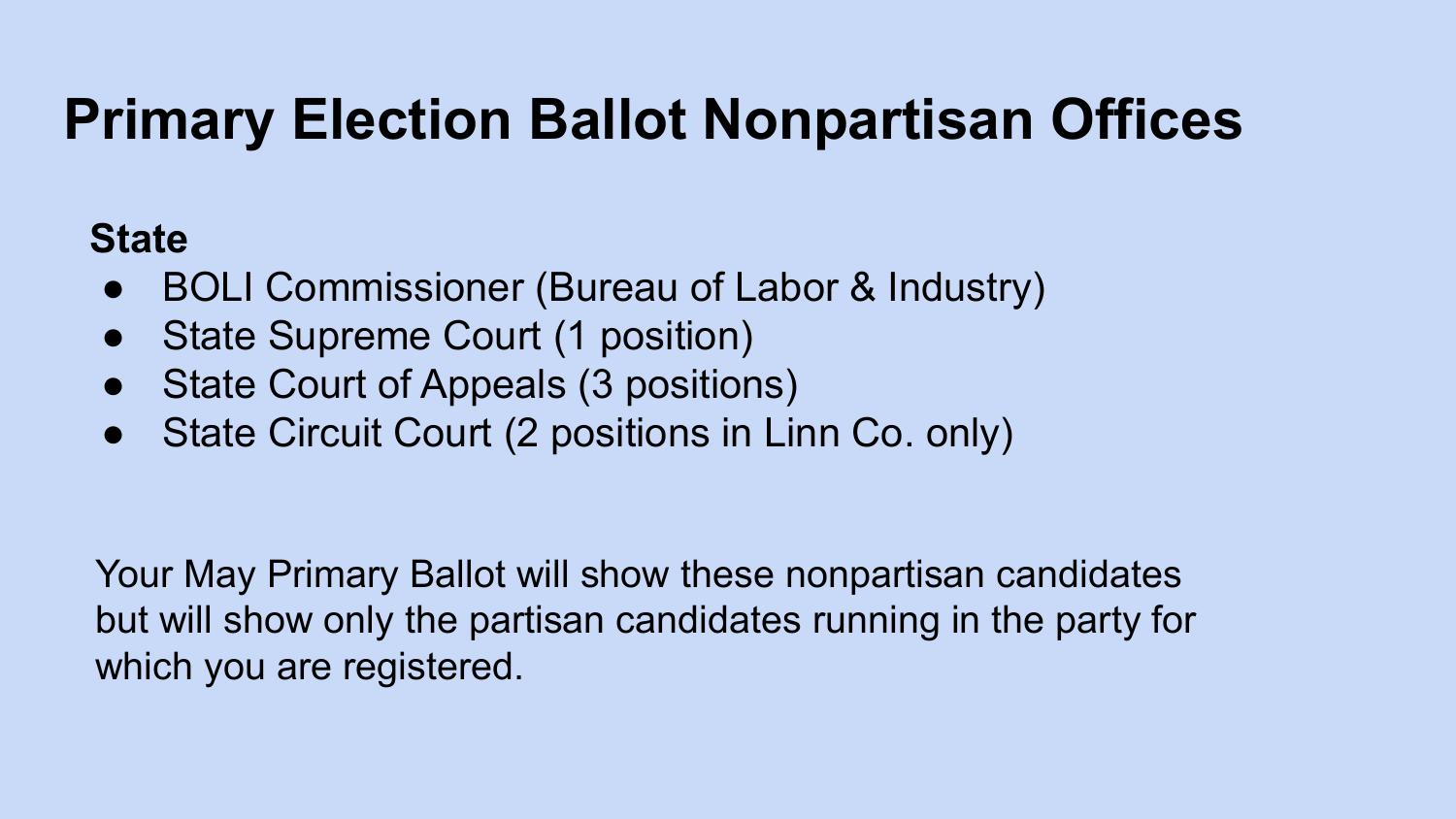# **Primary Election Ballot Nonpartisan Offices**

#### **State**

- BOLI Commissioner (Bureau of Labor & Industry)
- State Supreme Court (1 position)
- State Court of Appeals (3 positions)
- State Circuit Court (2 positions in Linn Co. only)

Your May Primary Ballot will show these nonpartisan candidates but will show only the partisan candidates running in the party for which you are registered.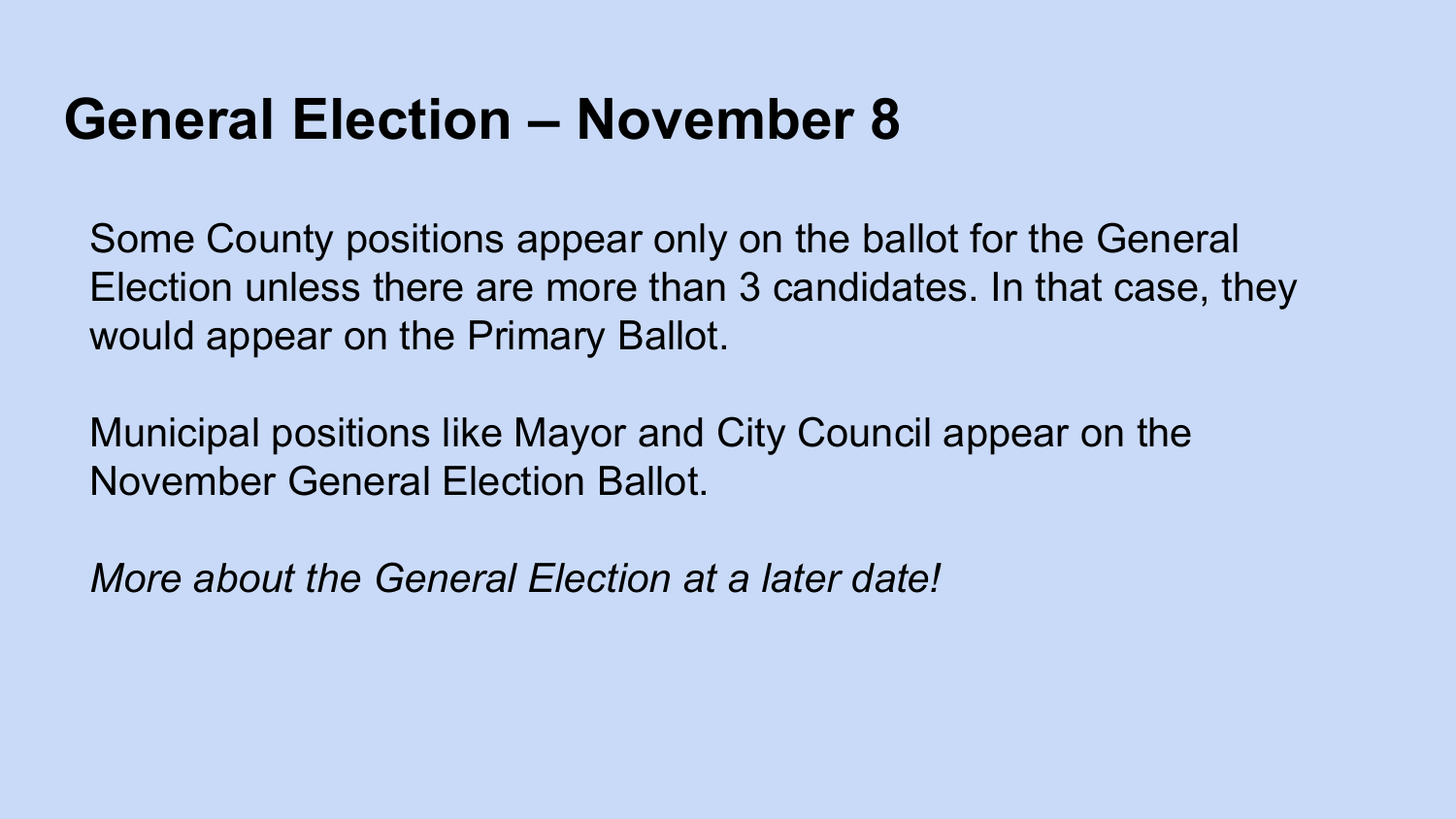### **General Election – November 8**

Some County positions appear only on the ballot for the General Election unless there are more than 3 candidates. In that case, they would appear on the Primary Ballot.

Municipal positions like Mayor and City Council appear on the November General Election Ballot.

*More about the General Election at a later date!*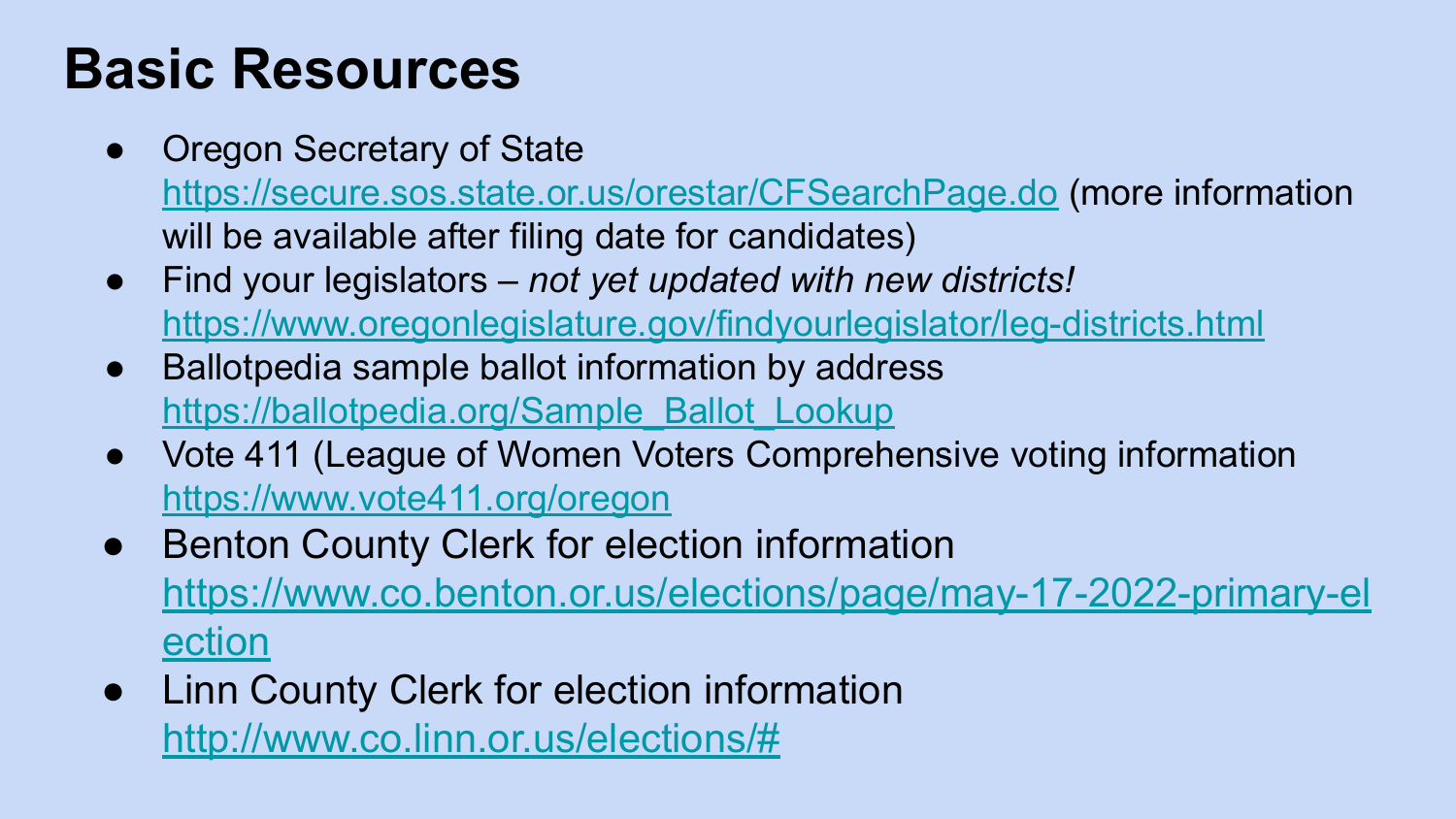## **Basic Resources**

- Oregon Secretary of State <https://secure.sos.state.or.us/orestar/CFSearchPage.do>(more information will be available after filing date for candidates)
- Find your legislators *not yet updated with new districts!* <https://www.oregonlegislature.gov/findyourlegislator/leg-districts.html>
- Ballotpedia sample ballot information by address [https://ballotpedia.org/Sample\\_Ballot\\_Lookup](https://ballotpedia.org/Sample_Ballot_Lookup)
- Vote 411 (League of Women Voters Comprehensive voting information <https://www.vote411.org/oregon>
- Benton County Clerk for election information [https://www.co.benton.or.us/elections/page/may-17-2022-primary-el](https://www.co.benton.or.us/elections/page/may-17-2022-primary-election) [ection](https://www.co.benton.or.us/elections/page/may-17-2022-primary-election)
- Linn County Clerk for election information <http://www.co.linn.or.us/elections/#>